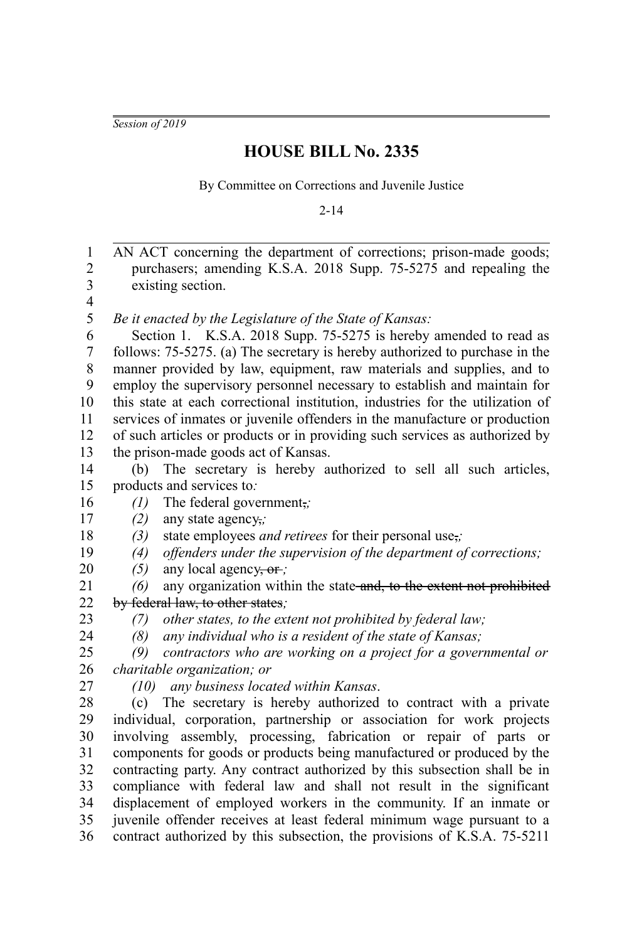*Session of 2019*

## **HOUSE BILL No. 2335**

By Committee on Corrections and Juvenile Justice

2-14

AN ACT concerning the department of corrections; prison-made goods; purchasers; amending K.S.A. 2018 Supp. 75-5275 and repealing the existing section. *Be it enacted by the Legislature of the State of Kansas:* Section 1. K.S.A. 2018 Supp. 75-5275 is hereby amended to read as follows: 75-5275. (a) The secretary is hereby authorized to purchase in the manner provided by law, equipment, raw materials and supplies, and to employ the supervisory personnel necessary to establish and maintain for this state at each correctional institution, industries for the utilization of services of inmates or juvenile offenders in the manufacture or production of such articles or products or in providing such services as authorized by the prison-made goods act of Kansas. (b) The secretary is hereby authorized to sell all such articles, products and services to*: (1)* The federal government,*; (2)* any state agency,*; (3)* state employees *and retirees* for their personal use,*; (4) offenders under the supervision of the department of corrections; (5)* any local agency, or *; (6)* any organization within the state and, to the extent not prohibited by federal law, to other states*; (7) other states, to the extent not prohibited by federal law; (8) any individual who is a resident of the state of Kansas; (9) contractors who are working on a project for a governmental or charitable organization; or (10) any business located within Kansas*. (c) The secretary is hereby authorized to contract with a private individual, corporation, partnership or association for work projects involving assembly, processing, fabrication or repair of parts or components for goods or products being manufactured or produced by the contracting party. Any contract authorized by this subsection shall be in compliance with federal law and shall not result in the significant displacement of employed workers in the community. If an inmate or juvenile offender receives at least federal minimum wage pursuant to a contract authorized by this subsection, the provisions of K.S.A. 75-5211 1 2 3 4 5 6 7 8 9 10 11 12 13 14 15 16 17 18 19 20 21 22 23 24 25 26 27 28 29 30 31 32 33 34 35 36